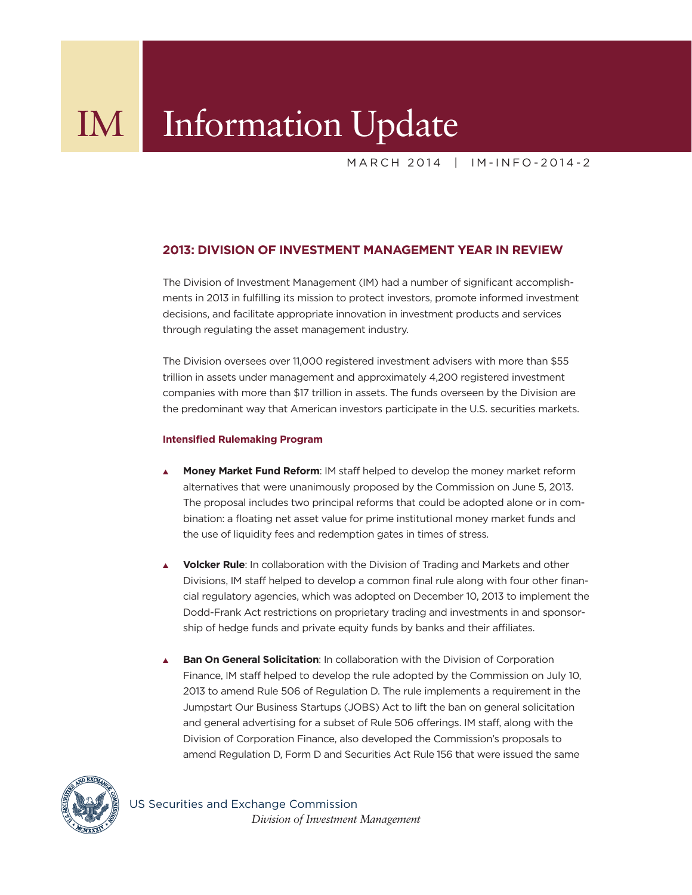MARCH 2014 | IM-INFO-2014-2

# **2013: DIVISION OF INVESTMENT MANAGEMENT YEAR IN REVIEW**

The Division of Investment Management (IM) had a number of significant accomplishments in 2013 in fulfilling its mission to protect investors, promote informed investment decisions, and facilitate appropriate innovation in investment products and services through regulating the asset management industry.

The Division oversees over 11,000 registered investment advisers with more than \$55 trillion in assets under management and approximately 4,200 registered investment companies with more than \$17 trillion in assets. The funds overseen by the Division are the predominant way that American investors participate in the U.S. securities markets.

## **Intensified Rulemaking Program**

- **Money Market Fund Reform: IM staff helped to develop the [money market reform](http://www.sec.gov/rules/proposed/2013/33-9408.pdf)** alternatives that were unanimously proposed by the Commission on June 5, 2013. The proposal includes two principal reforms that could be adopted alone or in combination: a floating net asset value for prime institutional money market funds and the use of liquidity fees and redemption gates in times of stress.
- <sup>s</sup>**Volcker Rule**: In collaboration with the Division of Trading and Markets and other Divisions, IM staff helped to develop a common final rule along with four other financial regulatory agencies, which was adopted on December 10, 2013 to implement the Dodd-Frank Act restrictions on proprietary trading and investments in and sponsorship of hedge funds and private equity funds by banks and their affiliates.
- **Ban On General Solicitation**: In collaboration with the Division of Corporation Finance, IM staff helped to develop the rule adopted by the Commission on July 10, 2013 to amend Rule 506 of Regulation D. The rule implements a requirement in the Jumpstart Our Business Startups (JOBS) Act to lift the ban on general solicitation and general advertising for a subset of Rule 506 offerings. IM staff, along with the Division of Corporation Finance, also developed the Commission's proposals to amend Regulation D, Form D and Securities Act Rule 156 that were issued the same



US Securities and Exchange Commission  *Division of Investment Management*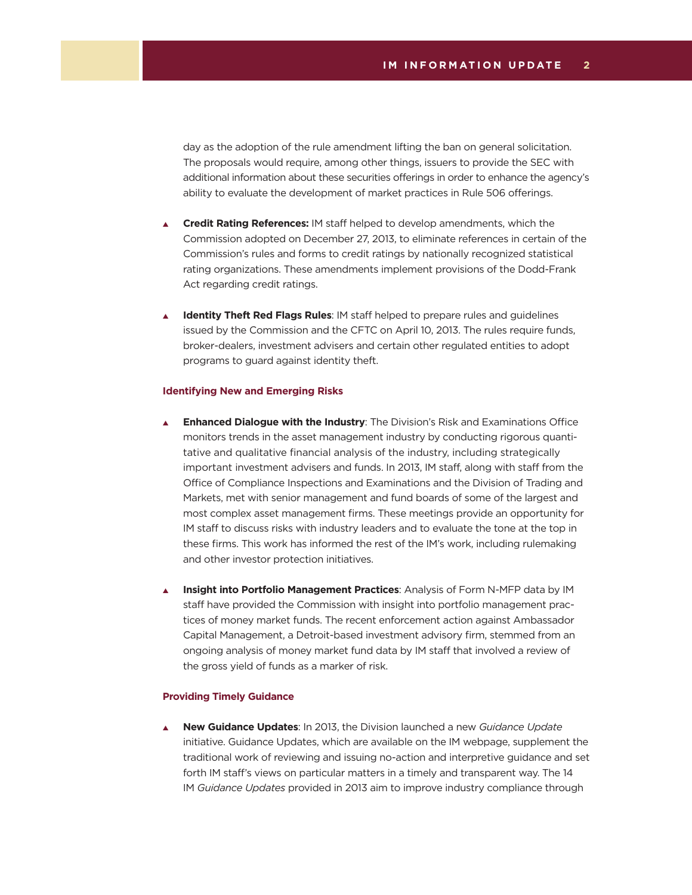day as the adoption of the rule amendment lifting the ban on general solicitation. The proposals would require, among other things, issuers to provide the SEC with additional information about these securities offerings in order to enhance the agency's ability to evaluate the development of market practices in Rule 506 offerings.

- <sup>s</sup>**Credit Rating References:** IM staff helped to develop amendments, which the Commission adopted on December 27, 2013, to eliminate references in certain of the Commission's rules and forms to credit ratings by nationally recognized statistical rating organizations. These amendments implement provisions of the Dodd-Frank Act regarding credit ratings.
- **Identity Theft Red Flags Rules**: IM staff helped to prepare [rules and guidelines](http://www.sec.gov/rules/final/2013/34-69359.pdf) issued by the Commission and the CFTC on April 10, 2013. The rules require funds, broker-dealers, investment advisers and certain other regulated entities to adopt programs to guard against identity theft.

### **Identifying New and Emerging Risks**

- <sup>s</sup>**Enhanced Dialogue with the Industry**: The Division's Risk and Examinations Office monitors trends in the asset management industry by conducting rigorous quantitative and qualitative financial analysis of the industry, including strategically important investment advisers and funds. In 2013, IM staff, along with staff from the Office of Compliance Inspections and Examinations and the Division of Trading and Markets, met with senior management and fund boards of some of the largest and most complex asset management firms. These meetings provide an opportunity for IM staff to discuss risks with industry leaders and to evaluate the tone at the top in these firms. This work has informed the rest of the IM's work, including rulemaking and other investor protection initiatives.
- **Insight into Portfolio Management Practices**: Analysis of Form N-MFP data by IM staff have provided the Commission with insight into portfolio management practices of money market funds. The recent enforcement action against Ambassador Capital Management, a Detroit-based investment advisory firm, stemmed from an ongoing analysis of money market fund data by IM staff that involved a review of the gross yield of funds as a marker of risk.

## **Providing Timely Guidance**

<sup>s</sup>**New Guidance Updates**: In 2013, the Division launched a new *Guidance Update* initiative. Guidance Updates, which are available on the IM webpage, supplement the traditional work of reviewing and issuing no-action and interpretive guidance and set forth IM staff's views on particular matters in a timely and transparent way. The 14 IM *Guidance Updates* provided in 2013 aim to improve industry compliance through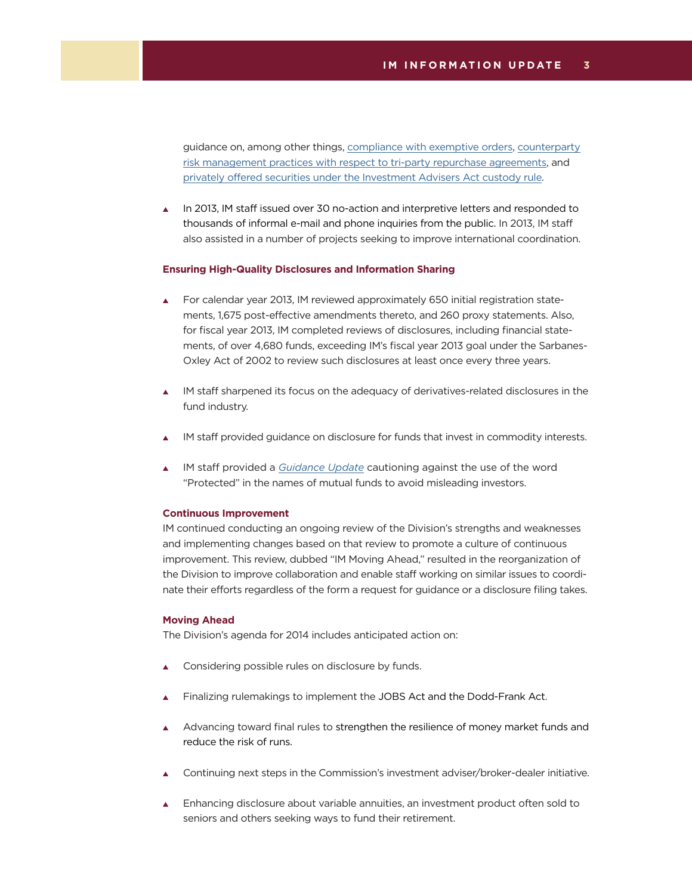guidance on, among other things, [compliance with exemptive orders,](http://www.sec.gov/divisions/investment/guidance/im-guidance-2013-02.pdf) [counterparty](http://www.sec.gov/divisions/investment/guidance/im-guidance-2013-03.pdf) [risk management practices with respect to tri-party repurchase agreements,](http://www.sec.gov/divisions/investment/guidance/im-guidance-2013-03.pdf) and [privately offered securities under the Investment Advisers Act custody rule](http://www.sec.gov/divisions/investment/guidance/im-guidance-2013-04.pdf).

In 2013, IM staff issued over 30 no-action and interpretive letters and responded to thousands of informal e-mail and phone inquiries from the public. In 2013, IM staff also assisted in a number of projects seeking to improve international coordination.

#### **Ensuring High-Quality Disclosures and Information Sharing**

- $\blacktriangle$  For calendar year 2013, IM reviewed approximately 650 initial registration statements, 1,675 post-effective amendments thereto, and 260 proxy statements. Also, for fiscal year 2013, IM completed reviews of disclosures, including financial statements, of over 4,680 funds, exceeding IM's fiscal year 2013 goal under the Sarbanes-Oxley Act of 2002 to review such disclosures at least once every three years.
- $\blacktriangle$  IM staff sharpened its focus on the adequacy of derivatives-related disclosures in the fund industry.
- IM staff provided [guidance](http://www.sec.gov/divisions/investment/guidance/im-guidance-2013-05.pdf) on disclosure for funds that invest in commodity interests.
- IM staff provided a *[Guidance Update](http://www.sec.gov/divisions/investment/guidance/im-guidance-2013-12.pdf)* cautioning against the use of the word "Protected" in the names of mutual funds to avoid misleading investors.

### **Continuous Improvement**

IM continued conducting an ongoing review of the Division's strengths and weaknesses and implementing changes based on that review to promote a culture of continuous improvement. This review, dubbed "IM Moving Ahead," resulted in the reorganization of the Division to improve collaboration and enable staff working on similar issues to coordinate their efforts regardless of the form a request for guidance or a disclosure filing takes.

#### **Moving Ahead**

The Division's agenda for 2014 includes anticipated action on:

- Considering possible rules on disclosure by funds.
- Finalizing rulemakings to implement the JOBS Act and the Dodd-Frank Act.
- Advancing toward final rules to strengthen the resilience of money market funds and reduce the risk of runs.
- Continuing next steps in the Commission's investment adviser/broker-dealer initiative.
- $\blacktriangle$  Enhancing disclosure about variable annuities, an investment product often sold to seniors and others seeking ways to fund their retirement.